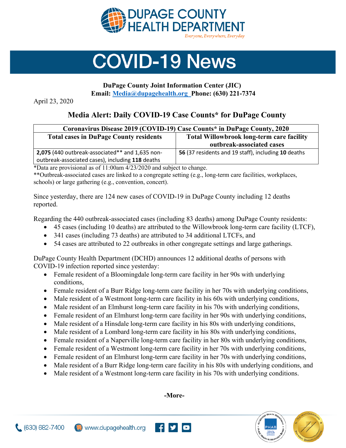

## **COVID-19 News**

## **DuPage County Joint Information Center (JIC) Email: [Media@dupagehealth.org](mailto:Media@dupagehealth.org) Phone: (630) 221-7374**

April 23, 2020

## **Media Alert: Daily COVID-19 Case Counts\* for DuPage County**

| Coronavirus Disease 2019 (COVID-19) Case Counts* in DuPage County, 2020 |                                                     |
|-------------------------------------------------------------------------|-----------------------------------------------------|
| <b>Total cases in DuPage County residents</b>                           | <b>Total Willowbrook long-term care facility</b>    |
|                                                                         | outbreak-associated cases                           |
| 2,075 (440 outbreak-associated** and 1,635 non-                         | 56 (37 residents and 19 staff), including 10 deaths |
| outbreak-associated cases), including 118 deaths                        |                                                     |

\*Data are provisional as of 11:00am 4/23/2020 and subject to change.

\*\*Outbreak-associated cases are linked to a congregate setting (e.g., long-term care facilities, workplaces, schools) or large gathering (e.g., convention, concert).

Since yesterday, there are 124 new cases of COVID-19 in DuPage County including 12 deaths reported.

Regarding the 440 outbreak-associated cases (including 83 deaths) among DuPage County residents:

- 45 cases (including 10 deaths) are attributed to the Willowbrook long-term care facility (LTCF),
- 341 cases (including 73 deaths) are attributed to 34 additional LTCFs, and
- 54 cases are attributed to 22 outbreaks in other congregate settings and large gatherings.

DuPage County Health Department (DCHD) announces 12 additional deaths of persons with COVID-19 infection reported since yesterday:

- Female resident of a Bloomingdale long-term care facility in her 90s with underlying conditions,
- Female resident of a Burr Ridge long-term care facility in her 70s with underlying conditions,
- Male resident of a Westmont long-term care facility in his 60s with underlying conditions,
- Male resident of an Elmhurst long-term care facility in his 70s with underlying conditions,
- Female resident of an Elmhurst long-term care facility in her 90s with underlying conditions,
- Male resident of a Hinsdale long-term care facility in his 80s with underlying conditions,
- Male resident of a Lombard long-term care facility in his 80s with underlying conditions,
- Female resident of a Naperville long-term care facility in her 80s with underlying conditions,
- Female resident of a Westmont long-term care facility in her 70s with underlying conditions,
- Female resident of an Elmhurst long-term care facility in her 70s with underlying conditions,
- Male resident of a Burr Ridge long-term care facility in his 80s with underlying conditions, and
- Male resident of a Westmont long-term care facility in his 70s with underlying conditions.

**-More-**